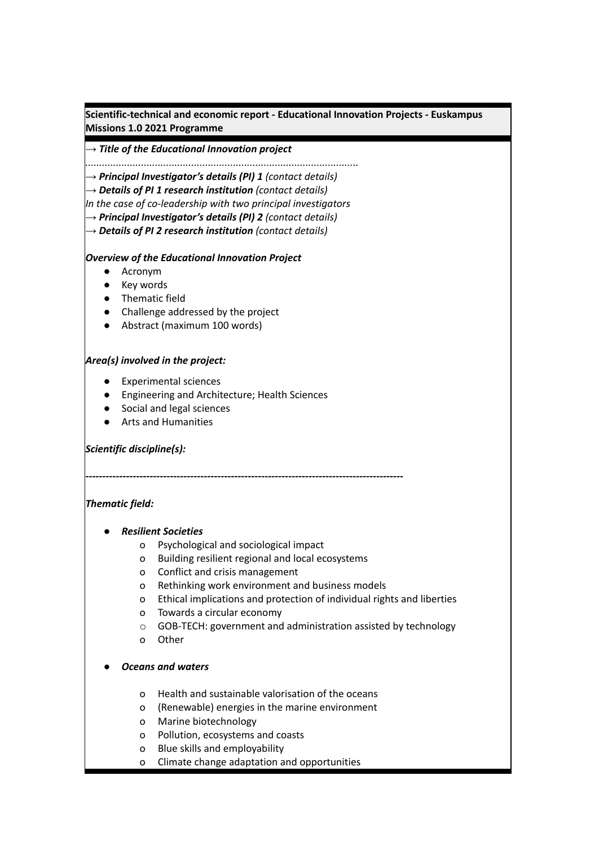**Scientific-technical and economic report - Educational Innovation Projects - Euskampus Missions 1.0 2021 Programme**

#### *→ Title of the Educational Innovation project*

*..................................................................................................*

*→ Principal Investigator's details (PI) 1 (contact details)*

*→ Details of PI 1 research institution (contact details)*

*In the case of co-leadership with two principal investigators*

*→ Principal Investigator's details (PI) 2 (contact details)*

*→ Details of PI 2 research institution (contact details)*

#### *Overview of the Educational Innovation Project*

- Acronym
- Key words
- Thematic field
- Challenge addressed by the project
- Abstract (maximum 100 words)

#### *Area(s) involved in the project:*

- Experimental sciences
- Engineering and Architecture; Health Sciences
- Social and legal sciences
- Arts and Humanities

## *Scientific discipline(s):*

## *Thematic field:*

- *● Resilient Societies*
	- o Psychological and sociological impact

*----------------------------------------------------------------------------------------------*

- o Building resilient regional and local ecosystems
- o Conflict and crisis management
- o Rethinking work environment and business models
- o Ethical implications and protection of individual rights and liberties
- o Towards a circular economy
- o GOB-TECH: government and administration assisted by technology
- o Other

## *● Oceans and waters*

- o Health and sustainable valorisation of the oceans
- o (Renewable) energies in the marine environment
- o Marine biotechnology
- o Pollution, ecosystems and coasts
- o Blue skills and employability
- o Climate change adaptation and opportunities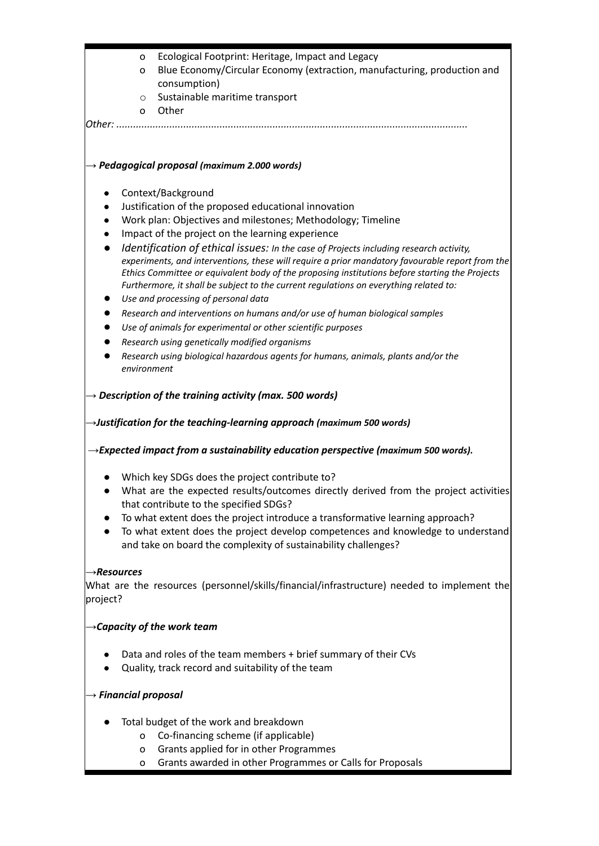|                         | o                                                                                                                             | Ecological Footprint: Heritage, Impact and Legacy                                                                                                                                                                                                                                                                                                                                    |  |
|-------------------------|-------------------------------------------------------------------------------------------------------------------------------|--------------------------------------------------------------------------------------------------------------------------------------------------------------------------------------------------------------------------------------------------------------------------------------------------------------------------------------------------------------------------------------|--|
|                         | o                                                                                                                             | Blue Economy/Circular Economy (extraction, manufacturing, production and                                                                                                                                                                                                                                                                                                             |  |
|                         |                                                                                                                               | consumption)                                                                                                                                                                                                                                                                                                                                                                         |  |
|                         | $\circ$                                                                                                                       | Sustainable maritime transport                                                                                                                                                                                                                                                                                                                                                       |  |
|                         | O                                                                                                                             | Other<br>lOther:                                                                                                                                                                                                                                                                                                                                                                     |  |
|                         |                                                                                                                               |                                                                                                                                                                                                                                                                                                                                                                                      |  |
|                         |                                                                                                                               | $\rightarrow$ Pedagogical proposal (maximum 2.000 words)                                                                                                                                                                                                                                                                                                                             |  |
| $\bullet$               |                                                                                                                               | Context/Background                                                                                                                                                                                                                                                                                                                                                                   |  |
| $\bullet$               |                                                                                                                               | Justification of the proposed educational innovation                                                                                                                                                                                                                                                                                                                                 |  |
| $\bullet$               |                                                                                                                               | Work plan: Objectives and milestones; Methodology; Timeline                                                                                                                                                                                                                                                                                                                          |  |
| $\bullet$               |                                                                                                                               | Impact of the project on the learning experience                                                                                                                                                                                                                                                                                                                                     |  |
| $\bullet$               |                                                                                                                               | Identification of ethical issues: In the case of Projects including research activity,<br>experiments, and interventions, these will require a prior mandatory favourable report from the<br>Ethics Committee or equivalent body of the proposing institutions before starting the Projects<br>Furthermore, it shall be subject to the current regulations on everything related to: |  |
| $\bullet$               |                                                                                                                               | Use and processing of personal data                                                                                                                                                                                                                                                                                                                                                  |  |
|                         |                                                                                                                               | Research and interventions on humans and/or use of human biological samples                                                                                                                                                                                                                                                                                                          |  |
| $\bullet$               |                                                                                                                               | Use of animals for experimental or other scientific purposes                                                                                                                                                                                                                                                                                                                         |  |
|                         |                                                                                                                               | Research using genetically modified organisms                                                                                                                                                                                                                                                                                                                                        |  |
|                         | environment                                                                                                                   | Research using biological hazardous agents for humans, animals, plants and/or the                                                                                                                                                                                                                                                                                                    |  |
|                         |                                                                                                                               | $\rightarrow$ Description of the training activity (max. 500 words)                                                                                                                                                                                                                                                                                                                  |  |
|                         |                                                                                                                               |                                                                                                                                                                                                                                                                                                                                                                                      |  |
|                         |                                                                                                                               | $\rightarrow$ Justification for the teaching-learning approach (maximum 500 words)                                                                                                                                                                                                                                                                                                   |  |
|                         |                                                                                                                               | $\rightarrow$ Expected impact from a sustainability education perspective (maximum 500 words).                                                                                                                                                                                                                                                                                       |  |
|                         |                                                                                                                               | Which key SDGs does the project contribute to?                                                                                                                                                                                                                                                                                                                                       |  |
|                         | What are the expected results/outcomes directly derived from the project activities<br>that contribute to the specified SDGs? |                                                                                                                                                                                                                                                                                                                                                                                      |  |
|                         |                                                                                                                               | To what extent does the project introduce a transformative learning approach?<br>To what extent does the project develop competences and knowledge to understand<br>and take on board the complexity of sustainability challenges?                                                                                                                                                   |  |
| $\rightarrow$ Resources |                                                                                                                               |                                                                                                                                                                                                                                                                                                                                                                                      |  |
| project?                |                                                                                                                               | What are the resources (personnel/skills/financial/infrastructure) needed to implement the                                                                                                                                                                                                                                                                                           |  |
|                         |                                                                                                                               | $\rightarrow$ Capacity of the work team                                                                                                                                                                                                                                                                                                                                              |  |
|                         | Data and roles of the team members + brief summary of their CVs<br>Quality, track record and suitability of the team          |                                                                                                                                                                                                                                                                                                                                                                                      |  |
|                         | $\rightarrow$ Financial proposal                                                                                              |                                                                                                                                                                                                                                                                                                                                                                                      |  |
|                         |                                                                                                                               | Total budget of the work and breakdown                                                                                                                                                                                                                                                                                                                                               |  |
|                         | o                                                                                                                             | Co-financing scheme (if applicable)                                                                                                                                                                                                                                                                                                                                                  |  |
|                         | $\mathsf{o}$                                                                                                                  | Grants applied for in other Programmes                                                                                                                                                                                                                                                                                                                                               |  |
|                         | o                                                                                                                             | Grants awarded in other Programmes or Calls for Proposals                                                                                                                                                                                                                                                                                                                            |  |
|                         |                                                                                                                               |                                                                                                                                                                                                                                                                                                                                                                                      |  |